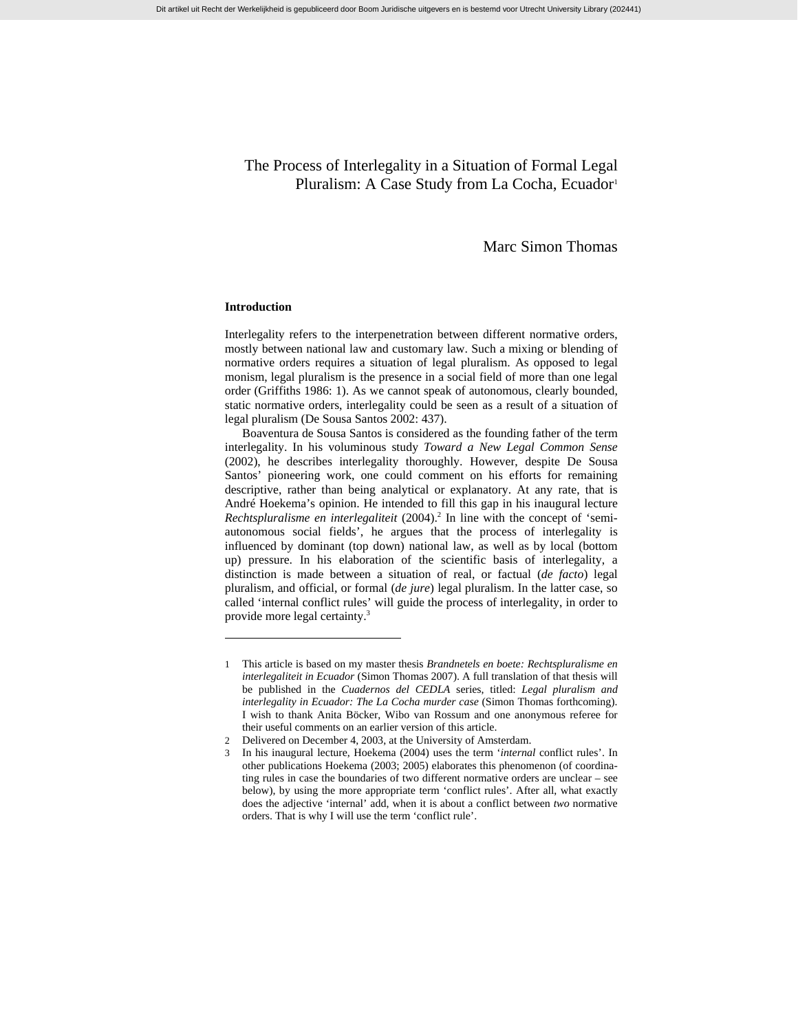# The Process of Interlegality in a Situation of Formal Legal Pluralism: A Case Study from La Cocha, Ecuador<sup>1</sup>

# Marc Simon Thomas

## **Introduction**

l

Interlegality refers to the interpenetration between different normative orders, mostly between national law and customary law. Such a mixing or blending of normative orders requires a situation of legal pluralism. As opposed to legal monism, legal pluralism is the presence in a social field of more than one legal order (Griffiths 1986: 1). As we cannot speak of autonomous, clearly bounded, static normative orders, interlegality could be seen as a result of a situation of legal pluralism (De Sousa Santos 2002: 437).

Boaventura de Sousa Santos is considered as the founding father of the term interlegality. In his voluminous study *Toward a New Legal Common Sense* (2002), he describes interlegality thoroughly. However, despite De Sousa Santos' pioneering work, one could comment on his efforts for remaining descriptive, rather than being analytical or explanatory. At any rate, that is André Hoekema's opinion. He intended to fill this gap in his inaugural lecture Rechtspluralisme en interlegaliteit (2004).<sup>2</sup> In line with the concept of 'semiautonomous social fields', he argues that the process of interlegality is influenced by dominant (top down) national law, as well as by local (bottom up) pressure. In his elaboration of the scientific basis of interlegality, a distinction is made between a situation of real, or factual (*de facto*) legal pluralism, and official, or formal (*de jure*) legal pluralism. In the latter case, so called 'internal conflict rules' will guide the process of interlegality, in order to provide more legal certainty.3

<sup>1</sup> This article is based on my master thesis *Brandnetels en boete: Rechtspluralisme en interlegaliteit in Ecuador* (Simon Thomas 2007). A full translation of that thesis will be published in the *Cuadernos del CEDLA* series, titled: *Legal pluralism and interlegality in Ecuador: The La Cocha murder case* (Simon Thomas forthcoming). I wish to thank Anita Böcker, Wibo van Rossum and one anonymous referee for their useful comments on an earlier version of this article.

<sup>2</sup> Delivered on December 4, 2003, at the University of Amsterdam.

<sup>3</sup> In his inaugural lecture, Hoekema (2004) uses the term '*internal* conflict rules'. In other publications Hoekema (2003; 2005) elaborates this phenomenon (of coordinating rules in case the boundaries of two different normative orders are unclear – see below), by using the more appropriate term 'conflict rules'. After all, what exactly does the adjective 'internal' add, when it is about a conflict between *two* normative orders. That is why I will use the term 'conflict rule'.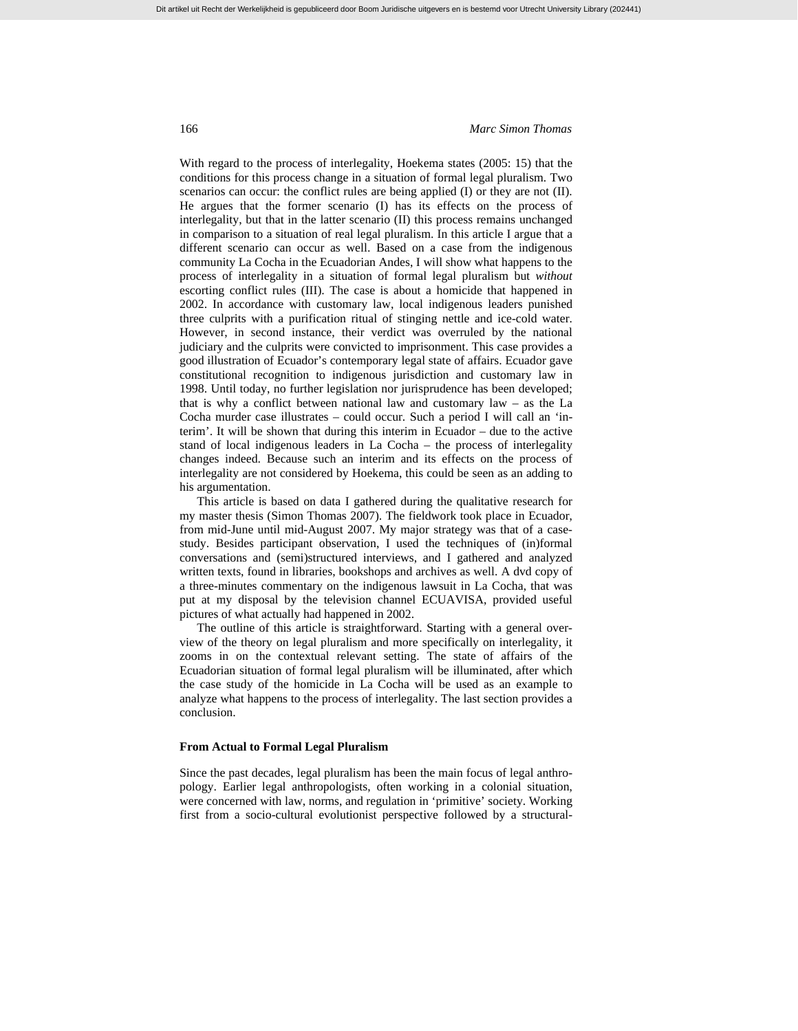With regard to the process of interlegality, Hoekema states (2005: 15) that the conditions for this process change in a situation of formal legal pluralism. Two scenarios can occur: the conflict rules are being applied (I) or they are not (II). He argues that the former scenario (I) has its effects on the process of interlegality, but that in the latter scenario (II) this process remains unchanged in comparison to a situation of real legal pluralism. In this article I argue that a different scenario can occur as well. Based on a case from the indigenous community La Cocha in the Ecuadorian Andes, I will show what happens to the process of interlegality in a situation of formal legal pluralism but *without* escorting conflict rules (III). The case is about a homicide that happened in 2002. In accordance with customary law, local indigenous leaders punished three culprits with a purification ritual of stinging nettle and ice-cold water. However, in second instance, their verdict was overruled by the national judiciary and the culprits were convicted to imprisonment. This case provides a good illustration of Ecuador's contemporary legal state of affairs. Ecuador gave constitutional recognition to indigenous jurisdiction and customary law in 1998. Until today, no further legislation nor jurisprudence has been developed; that is why a conflict between national law and customary law – as the La Cocha murder case illustrates – could occur. Such a period I will call an 'interim'. It will be shown that during this interim in Ecuador – due to the active stand of local indigenous leaders in La Cocha – the process of interlegality changes indeed. Because such an interim and its effects on the process of interlegality are not considered by Hoekema, this could be seen as an adding to his argumentation.

This article is based on data I gathered during the qualitative research for my master thesis (Simon Thomas 2007). The fieldwork took place in Ecuador, from mid-June until mid-August 2007. My major strategy was that of a casestudy. Besides participant observation, I used the techniques of (in)formal conversations and (semi)structured interviews, and I gathered and analyzed written texts, found in libraries, bookshops and archives as well. A dvd copy of a three-minutes commentary on the indigenous lawsuit in La Cocha, that was put at my disposal by the television channel ECUAVISA, provided useful pictures of what actually had happened in 2002.

The outline of this article is straightforward. Starting with a general overview of the theory on legal pluralism and more specifically on interlegality, it zooms in on the contextual relevant setting. The state of affairs of the Ecuadorian situation of formal legal pluralism will be illuminated, after which the case study of the homicide in La Cocha will be used as an example to analyze what happens to the process of interlegality. The last section provides a conclusion.

#### **From Actual to Formal Legal Pluralism**

Since the past decades, legal pluralism has been the main focus of legal anthropology. Earlier legal anthropologists, often working in a colonial situation, were concerned with law, norms, and regulation in 'primitive' society. Working first from a socio-cultural evolutionist perspective followed by a structural-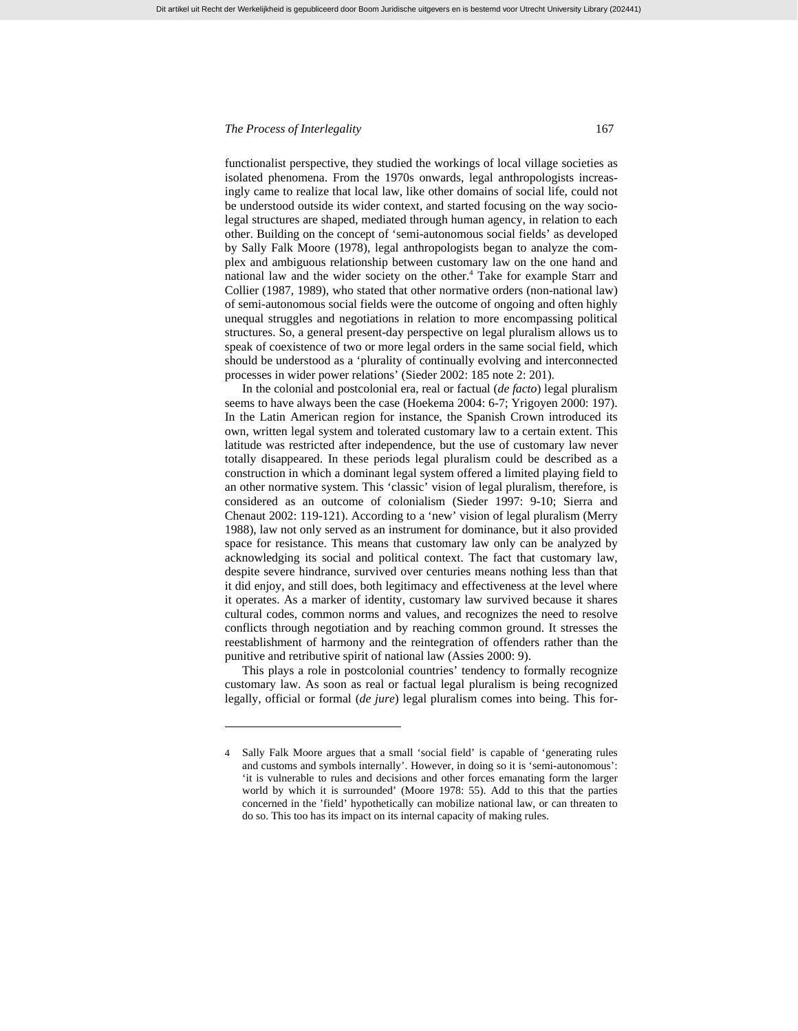l

functionalist perspective, they studied the workings of local village societies as isolated phenomena. From the 1970s onwards, legal anthropologists increasingly came to realize that local law, like other domains of social life, could not be understood outside its wider context, and started focusing on the way sociolegal structures are shaped, mediated through human agency, in relation to each other. Building on the concept of 'semi-autonomous social fields' as developed by Sally Falk Moore (1978), legal anthropologists began to analyze the complex and ambiguous relationship between customary law on the one hand and national law and the wider society on the other.<sup>4</sup> Take for example Starr and Collier (1987, 1989), who stated that other normative orders (non-national law) of semi-autonomous social fields were the outcome of ongoing and often highly unequal struggles and negotiations in relation to more encompassing political structures. So, a general present-day perspective on legal pluralism allows us to speak of coexistence of two or more legal orders in the same social field, which should be understood as a 'plurality of continually evolving and interconnected processes in wider power relations' (Sieder 2002: 185 note 2: 201).

In the colonial and postcolonial era, real or factual (*de facto*) legal pluralism seems to have always been the case (Hoekema 2004: 6-7; Yrigoyen 2000: 197). In the Latin American region for instance, the Spanish Crown introduced its own, written legal system and tolerated customary law to a certain extent. This latitude was restricted after independence, but the use of customary law never totally disappeared. In these periods legal pluralism could be described as a construction in which a dominant legal system offered a limited playing field to an other normative system. This 'classic' vision of legal pluralism, therefore, is considered as an outcome of colonialism (Sieder 1997: 9-10; Sierra and Chenaut 2002: 119-121). According to a 'new' vision of legal pluralism (Merry 1988), law not only served as an instrument for dominance, but it also provided space for resistance. This means that customary law only can be analyzed by acknowledging its social and political context. The fact that customary law, despite severe hindrance, survived over centuries means nothing less than that it did enjoy, and still does, both legitimacy and effectiveness at the level where it operates. As a marker of identity, customary law survived because it shares cultural codes, common norms and values, and recognizes the need to resolve conflicts through negotiation and by reaching common ground. It stresses the reestablishment of harmony and the reintegration of offenders rather than the punitive and retributive spirit of national law (Assies 2000: 9).

This plays a role in postcolonial countries' tendency to formally recognize customary law. As soon as real or factual legal pluralism is being recognized legally, official or formal (*de jure*) legal pluralism comes into being. This for-

<sup>4</sup> Sally Falk Moore argues that a small 'social field' is capable of 'generating rules and customs and symbols internally'. However, in doing so it is 'semi-autonomous': 'it is vulnerable to rules and decisions and other forces emanating form the larger world by which it is surrounded' (Moore 1978: 55). Add to this that the parties concerned in the 'field' hypothetically can mobilize national law, or can threaten to do so. This too has its impact on its internal capacity of making rules.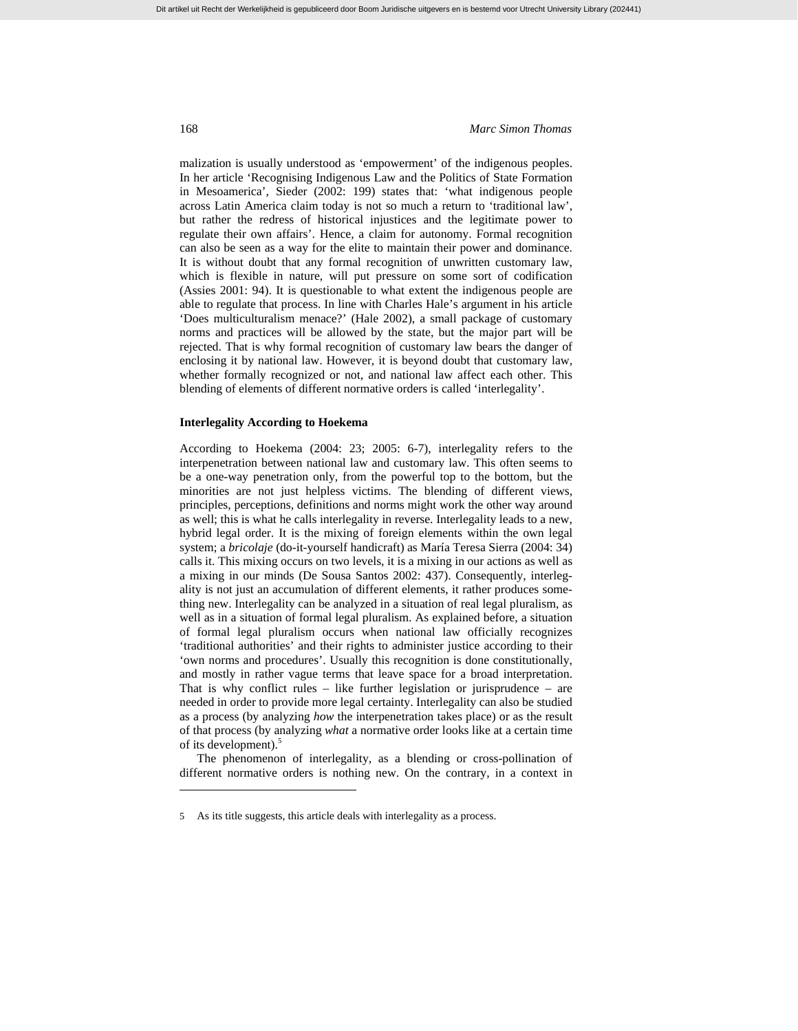malization is usually understood as 'empowerment' of the indigenous peoples. In her article 'Recognising Indigenous Law and the Politics of State Formation in Mesoamerica', Sieder (2002: 199) states that: 'what indigenous people across Latin America claim today is not so much a return to 'traditional law', but rather the redress of historical injustices and the legitimate power to regulate their own affairs'. Hence, a claim for autonomy. Formal recognition can also be seen as a way for the elite to maintain their power and dominance. It is without doubt that any formal recognition of unwritten customary law, which is flexible in nature, will put pressure on some sort of codification (Assies 2001: 94). It is questionable to what extent the indigenous people are able to regulate that process. In line with Charles Hale's argument in his article 'Does multiculturalism menace?' (Hale 2002), a small package of customary norms and practices will be allowed by the state, but the major part will be rejected. That is why formal recognition of customary law bears the danger of enclosing it by national law. However, it is beyond doubt that customary law, whether formally recognized or not, and national law affect each other. This blending of elements of different normative orders is called 'interlegality'.

### **Interlegality According to Hoekema**

According to Hoekema (2004: 23; 2005: 6-7), interlegality refers to the interpenetration between national law and customary law. This often seems to be a one-way penetration only, from the powerful top to the bottom, but the minorities are not just helpless victims. The blending of different views, principles, perceptions, definitions and norms might work the other way around as well; this is what he calls interlegality in reverse. Interlegality leads to a new, hybrid legal order. It is the mixing of foreign elements within the own legal system; a *bricolaje* (do-it-yourself handicraft) as María Teresa Sierra (2004: 34) calls it. This mixing occurs on two levels, it is a mixing in our actions as well as a mixing in our minds (De Sousa Santos 2002: 437). Consequently, interlegality is not just an accumulation of different elements, it rather produces something new. Interlegality can be analyzed in a situation of real legal pluralism, as well as in a situation of formal legal pluralism. As explained before, a situation of formal legal pluralism occurs when national law officially recognizes 'traditional authorities' and their rights to administer justice according to their 'own norms and procedures'. Usually this recognition is done constitutionally, and mostly in rather vague terms that leave space for a broad interpretation. That is why conflict rules – like further legislation or jurisprudence – are needed in order to provide more legal certainty. Interlegality can also be studied as a process (by analyzing *how* the interpenetration takes place) or as the result of that process (by analyzing *what* a normative order looks like at a certain time of its development).<sup>5</sup>

The phenomenon of interlegality, as a blending or cross-pollination of different normative orders is nothing new. On the contrary, in a context in

<sup>5</sup> As its title suggests, this article deals with interlegality as a process.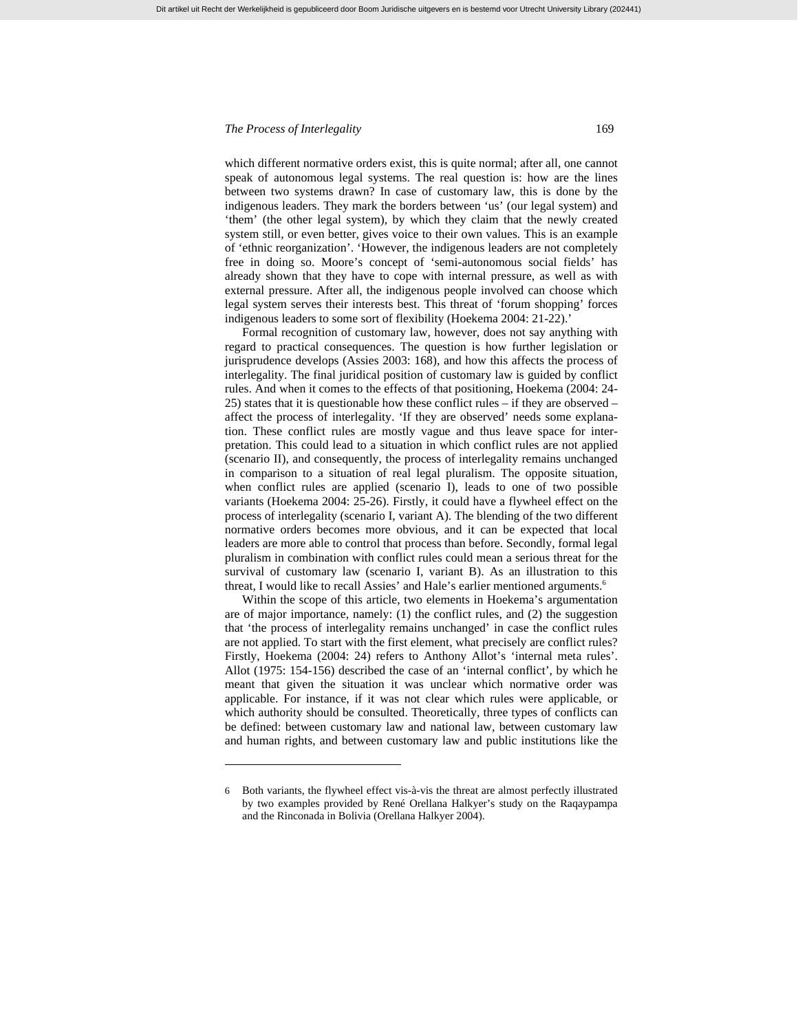l

which different normative orders exist, this is quite normal; after all, one cannot speak of autonomous legal systems. The real question is: how are the lines between two systems drawn? In case of customary law, this is done by the indigenous leaders. They mark the borders between 'us' (our legal system) and 'them' (the other legal system), by which they claim that the newly created system still, or even better, gives voice to their own values. This is an example of 'ethnic reorganization'. 'However, the indigenous leaders are not completely free in doing so. Moore's concept of 'semi-autonomous social fields' has already shown that they have to cope with internal pressure, as well as with external pressure. After all, the indigenous people involved can choose which legal system serves their interests best. This threat of 'forum shopping' forces indigenous leaders to some sort of flexibility (Hoekema 2004: 21-22).'

Formal recognition of customary law, however, does not say anything with regard to practical consequences. The question is how further legislation or jurisprudence develops (Assies 2003: 168), and how this affects the process of interlegality. The final juridical position of customary law is guided by conflict rules. And when it comes to the effects of that positioning, Hoekema (2004: 24- 25) states that it is questionable how these conflict rules – if they are observed – affect the process of interlegality. 'If they are observed' needs some explanation. These conflict rules are mostly vague and thus leave space for interpretation. This could lead to a situation in which conflict rules are not applied (scenario II), and consequently, the process of interlegality remains unchanged in comparison to a situation of real legal pluralism. The opposite situation, when conflict rules are applied (scenario I), leads to one of two possible variants (Hoekema 2004: 25-26). Firstly, it could have a flywheel effect on the process of interlegality (scenario I, variant A). The blending of the two different normative orders becomes more obvious, and it can be expected that local leaders are more able to control that process than before. Secondly, formal legal pluralism in combination with conflict rules could mean a serious threat for the survival of customary law (scenario I, variant B). As an illustration to this threat, I would like to recall Assies' and Hale's earlier mentioned arguments.<sup>6</sup>

Within the scope of this article, two elements in Hoekema's argumentation are of major importance, namely: (1) the conflict rules, and (2) the suggestion that 'the process of interlegality remains unchanged' in case the conflict rules are not applied. To start with the first element, what precisely are conflict rules? Firstly, Hoekema (2004: 24) refers to Anthony Allot's 'internal meta rules'. Allot (1975: 154-156) described the case of an 'internal conflict', by which he meant that given the situation it was unclear which normative order was applicable. For instance, if it was not clear which rules were applicable, or which authority should be consulted. Theoretically, three types of conflicts can be defined: between customary law and national law, between customary law and human rights, and between customary law and public institutions like the

<sup>6</sup> Both variants, the flywheel effect vis-à-vis the threat are almost perfectly illustrated by two examples provided by René Orellana Halkyer's study on the Raqaypampa and the Rinconada in Bolivia (Orellana Halkyer 2004).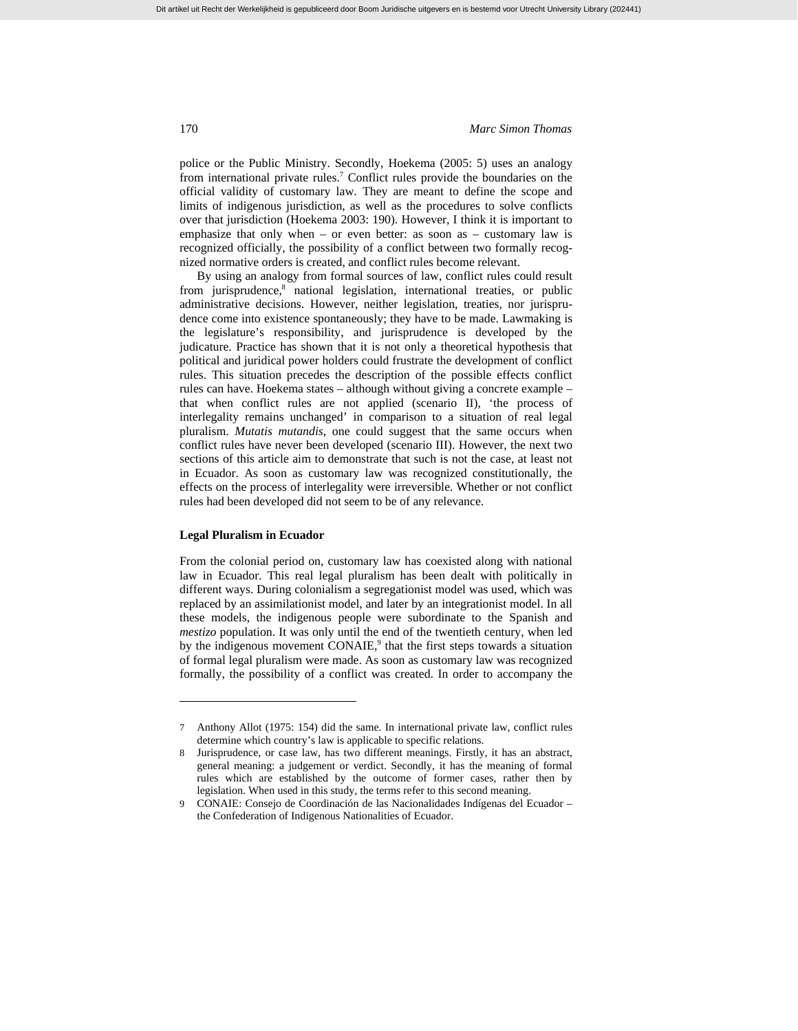police or the Public Ministry. Secondly, Hoekema (2005: 5) uses an analogy from international private rules.<sup>7</sup> Conflict rules provide the boundaries on the official validity of customary law. They are meant to define the scope and limits of indigenous jurisdiction, as well as the procedures to solve conflicts over that jurisdiction (Hoekema 2003: 190). However, I think it is important to emphasize that only when – or even better: as soon as – customary law is recognized officially, the possibility of a conflict between two formally recognized normative orders is created, and conflict rules become relevant.

By using an analogy from formal sources of law, conflict rules could result from jurisprudence,<sup>8</sup> national legislation, international treaties, or public administrative decisions. However, neither legislation, treaties, nor jurisprudence come into existence spontaneously; they have to be made. Lawmaking is the legislature's responsibility, and jurisprudence is developed by the judicature. Practice has shown that it is not only a theoretical hypothesis that political and juridical power holders could frustrate the development of conflict rules. This situation precedes the description of the possible effects conflict rules can have. Hoekema states – although without giving a concrete example – that when conflict rules are not applied (scenario II), 'the process of interlegality remains unchanged' in comparison to a situation of real legal pluralism. *Mutatis mutandis*, one could suggest that the same occurs when conflict rules have never been developed (scenario III). However, the next two sections of this article aim to demonstrate that such is not the case, at least not in Ecuador. As soon as customary law was recognized constitutionally, the effects on the process of interlegality were irreversible. Whether or not conflict rules had been developed did not seem to be of any relevance.

## **Legal Pluralism in Ecuador**

l

From the colonial period on, customary law has coexisted along with national law in Ecuador. This real legal pluralism has been dealt with politically in different ways. During colonialism a segregationist model was used, which was replaced by an assimilationist model, and later by an integrationist model. In all these models, the indigenous people were subordinate to the Spanish and *mestizo* population. It was only until the end of the twentieth century, when led by the indigenous movement  $CONAIE<sup>9</sup>$ , that the first steps towards a situation of formal legal pluralism were made. As soon as customary law was recognized formally, the possibility of a conflict was created. In order to accompany the

<sup>7</sup> Anthony Allot (1975: 154) did the same. In international private law, conflict rules determine which country's law is applicable to specific relations.

<sup>8</sup> Jurisprudence, or case law, has two different meanings. Firstly, it has an abstract, general meaning: a judgement or verdict. Secondly, it has the meaning of formal rules which are established by the outcome of former cases, rather then by legislation. When used in this study, the terms refer to this second meaning.

<sup>9</sup> CONAIE: Consejo de Coordinación de las Nacionalidades Indígenas del Ecuador – the Confederation of Indigenous Nationalities of Ecuador.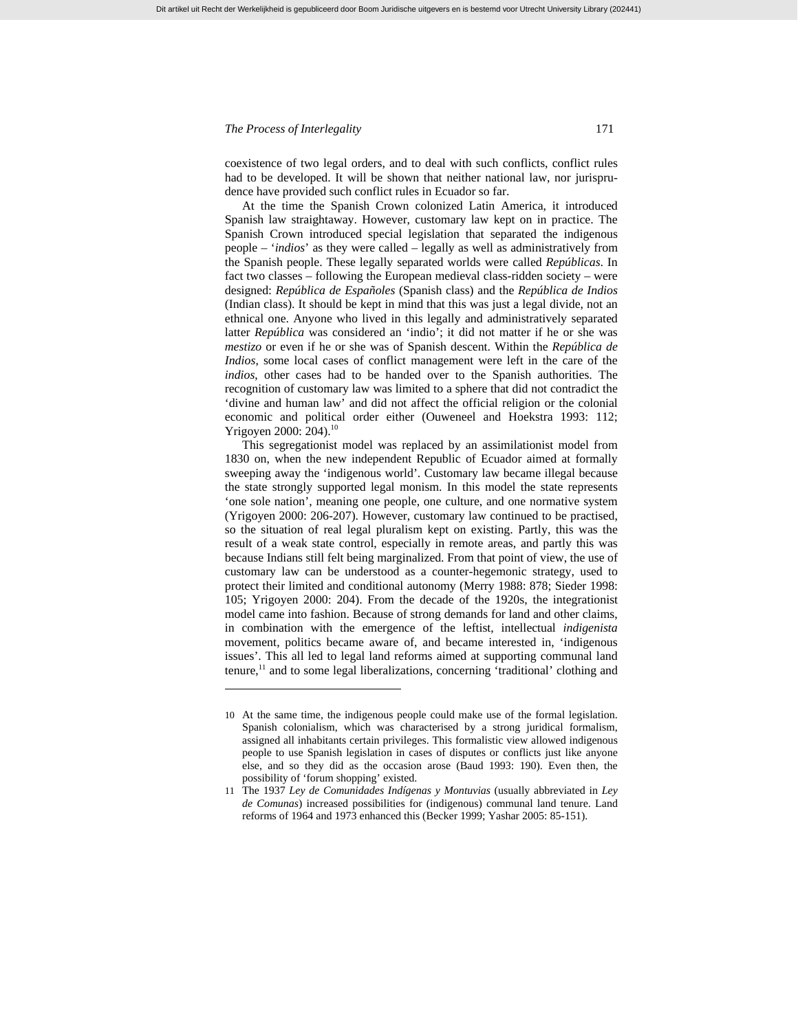l

coexistence of two legal orders, and to deal with such conflicts, conflict rules had to be developed. It will be shown that neither national law, nor jurisprudence have provided such conflict rules in Ecuador so far.

Dit artikel uit Recht der Werkelijkheid is gepubliceerd door Boom Juridische uitgevers en is bestemd voor Utrecht University Library (202441)

At the time the Spanish Crown colonized Latin America, it introduced Spanish law straightaway. However, customary law kept on in practice. The Spanish Crown introduced special legislation that separated the indigenous people – '*indios*' as they were called – legally as well as administratively from the Spanish people. These legally separated worlds were called *Repúblicas*. In fact two classes – following the European medieval class-ridden society – were designed: *República de Españoles* (Spanish class) and the *República de Indios*  (Indian class). It should be kept in mind that this was just a legal divide, not an ethnical one. Anyone who lived in this legally and administratively separated latter *República* was considered an 'indio'; it did not matter if he or she was *mestizo* or even if he or she was of Spanish descent. Within the *República de Indios*, some local cases of conflict management were left in the care of the *indios*, other cases had to be handed over to the Spanish authorities. The recognition of customary law was limited to a sphere that did not contradict the 'divine and human law' and did not affect the official religion or the colonial economic and political order either (Ouweneel and Hoekstra 1993: 112; Yrigoyen 2000: 204).<sup>10</sup>

This segregationist model was replaced by an assimilationist model from 1830 on, when the new independent Republic of Ecuador aimed at formally sweeping away the 'indigenous world'. Customary law became illegal because the state strongly supported legal monism. In this model the state represents 'one sole nation', meaning one people, one culture, and one normative system (Yrigoyen 2000: 206-207). However, customary law continued to be practised, so the situation of real legal pluralism kept on existing. Partly, this was the result of a weak state control, especially in remote areas, and partly this was because Indians still felt being marginalized. From that point of view, the use of customary law can be understood as a counter-hegemonic strategy, used to protect their limited and conditional autonomy (Merry 1988: 878; Sieder 1998: 105; Yrigoyen 2000: 204). From the decade of the 1920s, the integrationist model came into fashion. Because of strong demands for land and other claims, in combination with the emergence of the leftist, intellectual *indigenista* movement, politics became aware of, and became interested in, 'indigenous issues'. This all led to legal land reforms aimed at supporting communal land tenure, $<sup>11</sup>$  and to some legal liberalizations, concerning 'traditional' clothing and</sup>

<sup>10</sup> At the same time, the indigenous people could make use of the formal legislation. Spanish colonialism, which was characterised by a strong juridical formalism, assigned all inhabitants certain privileges. This formalistic view allowed indigenous people to use Spanish legislation in cases of disputes or conflicts just like anyone else, and so they did as the occasion arose (Baud 1993: 190). Even then, the possibility of 'forum shopping' existed.

<sup>11</sup> The 1937 *Ley de Comunidades Indígenas y Montuvias* (usually abbreviated in *Ley de Comunas*) increased possibilities for (indigenous) communal land tenure. Land reforms of 1964 and 1973 enhanced this (Becker 1999; Yashar 2005: 85-151).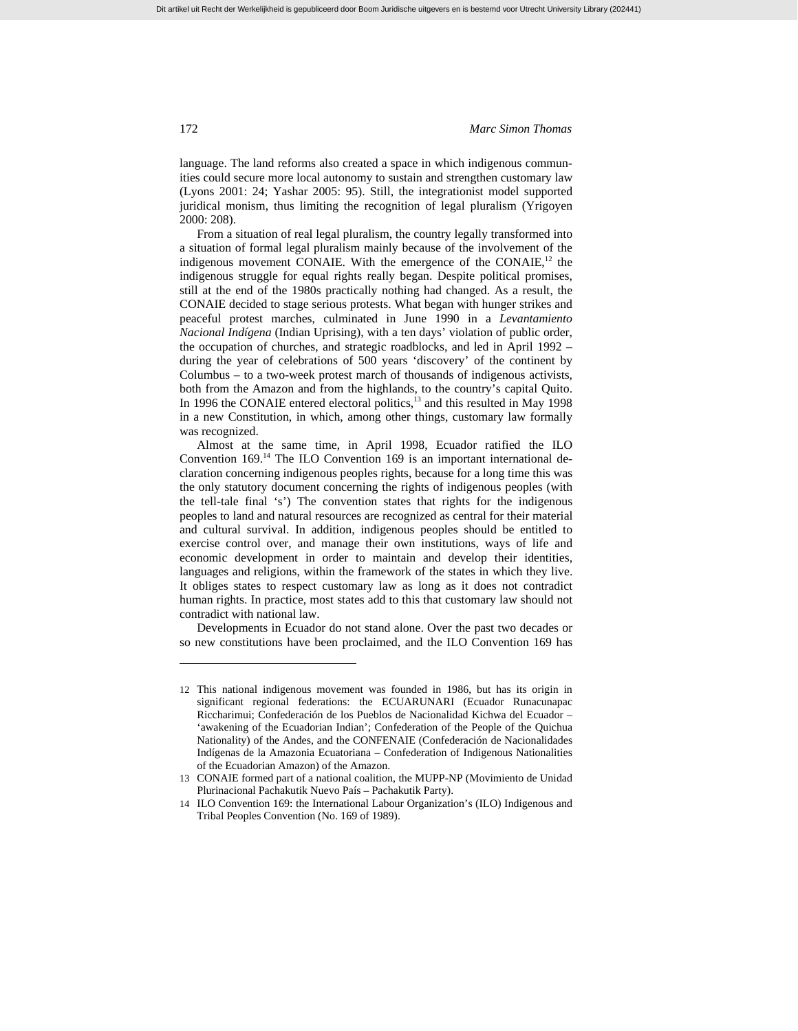language. The land reforms also created a space in which indigenous communities could secure more local autonomy to sustain and strengthen customary law (Lyons 2001: 24; Yashar 2005: 95). Still, the integrationist model supported juridical monism, thus limiting the recognition of legal pluralism (Yrigoyen 2000: 208).

From a situation of real legal pluralism, the country legally transformed into a situation of formal legal pluralism mainly because of the involvement of the indigenous movement CONAIE. With the emergence of the CONAIE, $^{12}$  the indigenous struggle for equal rights really began. Despite political promises, still at the end of the 1980s practically nothing had changed. As a result, the CONAIE decided to stage serious protests. What began with hunger strikes and peaceful protest marches, culminated in June 1990 in a *Levantamiento Nacional Indígena* (Indian Uprising), with a ten days' violation of public order, the occupation of churches, and strategic roadblocks, and led in April 1992 – during the year of celebrations of 500 years 'discovery' of the continent by Columbus – to a two-week protest march of thousands of indigenous activists, both from the Amazon and from the highlands, to the country's capital Quito. In 1996 the CONAIE entered electoral politics, $13$  and this resulted in May 1998 in a new Constitution, in which, among other things, customary law formally was recognized.

Almost at the same time, in April 1998, Ecuador ratified the ILO Convention 169.14 The ILO Convention 169 is an important international declaration concerning indigenous peoples rights, because for a long time this was the only statutory document concerning the rights of indigenous peoples (with the tell-tale final 's') The convention states that rights for the indigenous peoples to land and natural resources are recognized as central for their material and cultural survival. In addition, indigenous peoples should be entitled to exercise control over, and manage their own institutions, ways of life and economic development in order to maintain and develop their identities, languages and religions, within the framework of the states in which they live. It obliges states to respect customary law as long as it does not contradict human rights. In practice, most states add to this that customary law should not contradict with national law.

Developments in Ecuador do not stand alone. Over the past two decades or so new constitutions have been proclaimed, and the ILO Convention 169 has

<sup>12</sup> This national indigenous movement was founded in 1986, but has its origin in significant regional federations: the ECUARUNARI (Ecuador Runacunapac Riccharimui; Confederación de los Pueblos de Nacionalidad Kichwa del Ecuador – 'awakening of the Ecuadorian Indian'; Confederation of the People of the Quichua Nationality) of the Andes, and the CONFENAIE (Confederación de Nacionalidades Indígenas de la Amazonia Ecuatoriana – Confederation of Indigenous Nationalities of the Ecuadorian Amazon) of the Amazon.

<sup>13</sup> CONAIE formed part of a national coalition, the MUPP-NP (Movimiento de Unidad Plurinacional Pachakutik Nuevo País – Pachakutik Party).

<sup>14</sup> ILO Convention 169: the International Labour Organization's (ILO) Indigenous and Tribal Peoples Convention (No. 169 of 1989).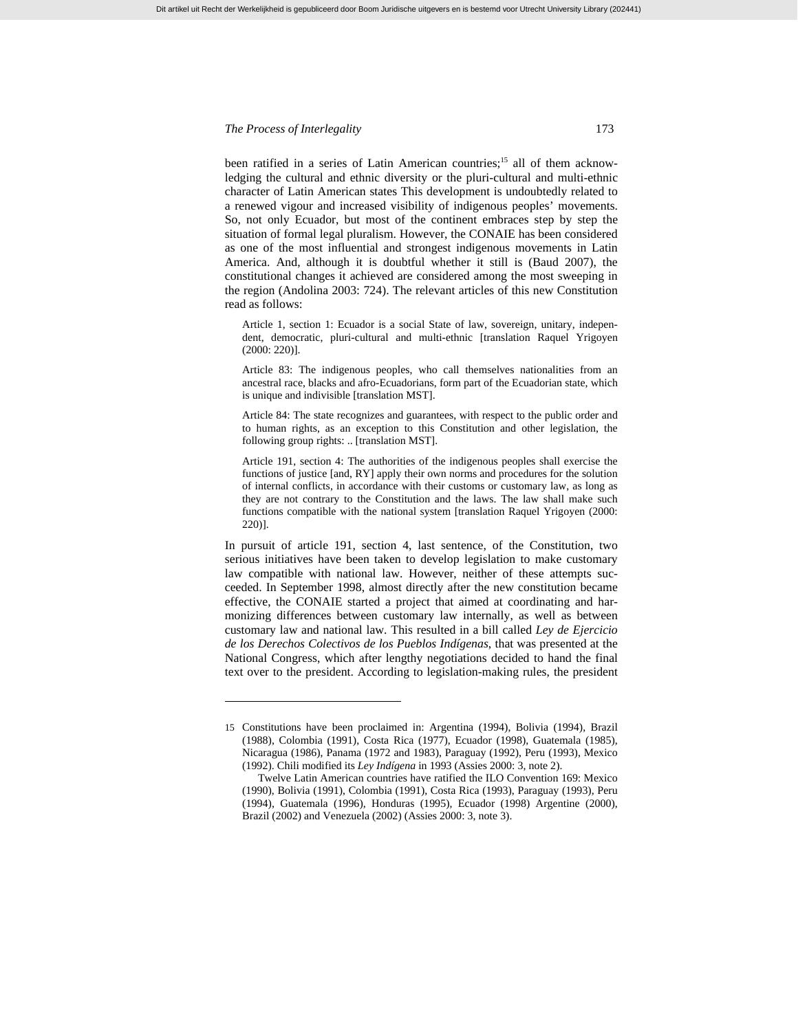l

been ratified in a series of Latin American countries;<sup>15</sup> all of them acknowledging the cultural and ethnic diversity or the pluri-cultural and multi-ethnic character of Latin American states This development is undoubtedly related to a renewed vigour and increased visibility of indigenous peoples' movements. So, not only Ecuador, but most of the continent embraces step by step the situation of formal legal pluralism. However, the CONAIE has been considered as one of the most influential and strongest indigenous movements in Latin America. And, although it is doubtful whether it still is (Baud 2007), the constitutional changes it achieved are considered among the most sweeping in the region (Andolina 2003: 724). The relevant articles of this new Constitution read as follows:

Article 1, section 1: Ecuador is a social State of law, sovereign, unitary, independent, democratic, pluri-cultural and multi-ethnic [translation Raquel Yrigoyen (2000: 220)].

Article 83: The indigenous peoples, who call themselves nationalities from an ancestral race, blacks and afro-Ecuadorians, form part of the Ecuadorian state, which is unique and indivisible [translation MST].

Article 84: The state recognizes and guarantees, with respect to the public order and to human rights, as an exception to this Constitution and other legislation, the following group rights: .. [translation MST].

Article 191, section 4: The authorities of the indigenous peoples shall exercise the functions of justice [and, RY] apply their own norms and procedures for the solution of internal conflicts, in accordance with their customs or customary law, as long as they are not contrary to the Constitution and the laws. The law shall make such functions compatible with the national system [translation Raquel Yrigoyen (2000: 220)].

In pursuit of article 191, section 4, last sentence, of the Constitution, two serious initiatives have been taken to develop legislation to make customary law compatible with national law. However, neither of these attempts succeeded. In September 1998, almost directly after the new constitution became effective, the CONAIE started a project that aimed at coordinating and harmonizing differences between customary law internally, as well as between customary law and national law. This resulted in a bill called *Ley de Ejercicio de los Derechos Colectivos de los Pueblos Indígenas*, that was presented at the National Congress, which after lengthy negotiations decided to hand the final text over to the president. According to legislation-making rules, the president

<sup>15</sup> Constitutions have been proclaimed in: Argentina (1994), Bolivia (1994), Brazil (1988), Colombia (1991), Costa Rica (1977), Ecuador (1998), Guatemala (1985), Nicaragua (1986), Panama (1972 and 1983), Paraguay (1992), Peru (1993), Mexico (1992). Chili modified its *Ley Indígena* in 1993 (Assies 2000: 3, note 2).

Twelve Latin American countries have ratified the ILO Convention 169: Mexico (1990), Bolivia (1991), Colombia (1991), Costa Rica (1993), Paraguay (1993), Peru (1994), Guatemala (1996), Honduras (1995), Ecuador (1998) Argentine (2000), Brazil (2002) and Venezuela (2002) (Assies 2000: 3, note 3).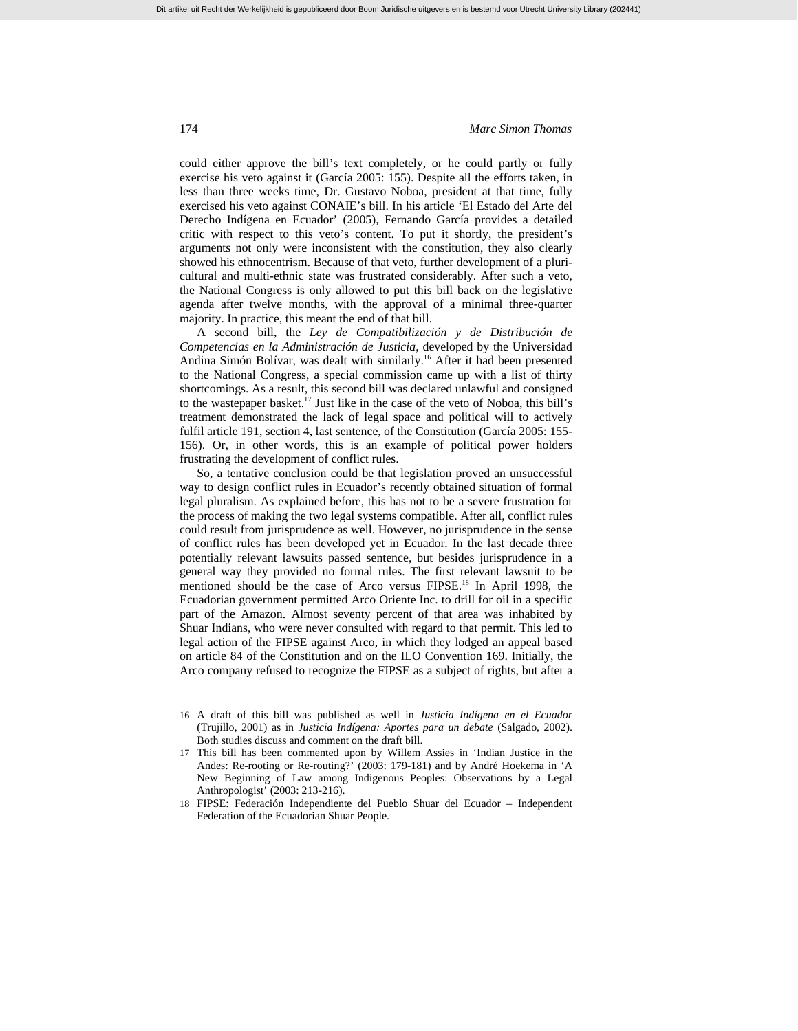could either approve the bill's text completely, or he could partly or fully exercise his veto against it (García 2005: 155). Despite all the efforts taken, in less than three weeks time, Dr. Gustavo Noboa, president at that time, fully exercised his veto against CONAIE's bill. In his article 'El Estado del Arte del Derecho Indígena en Ecuador' (2005), Fernando García provides a detailed critic with respect to this veto's content. To put it shortly, the president's arguments not only were inconsistent with the constitution, they also clearly showed his ethnocentrism. Because of that veto, further development of a pluricultural and multi-ethnic state was frustrated considerably. After such a veto, the National Congress is only allowed to put this bill back on the legislative agenda after twelve months, with the approval of a minimal three-quarter majority. In practice, this meant the end of that bill.

A second bill, the *Ley de Compatibilización y de Distribución de Competencias en la Administración de Justicia*, developed by the Universidad Andina Simón Bolívar, was dealt with similarly.<sup>16</sup> After it had been presented to the National Congress, a special commission came up with a list of thirty shortcomings. As a result, this second bill was declared unlawful and consigned to the wastepaper basket.17 Just like in the case of the veto of Noboa, this bill's treatment demonstrated the lack of legal space and political will to actively fulfil article 191, section 4, last sentence, of the Constitution (García 2005: 155- 156). Or, in other words, this is an example of political power holders frustrating the development of conflict rules.

So, a tentative conclusion could be that legislation proved an unsuccessful way to design conflict rules in Ecuador's recently obtained situation of formal legal pluralism. As explained before, this has not to be a severe frustration for the process of making the two legal systems compatible. After all, conflict rules could result from jurisprudence as well. However, no jurisprudence in the sense of conflict rules has been developed yet in Ecuador. In the last decade three potentially relevant lawsuits passed sentence, but besides jurisprudence in a general way they provided no formal rules. The first relevant lawsuit to be mentioned should be the case of Arco versus FIPSE.<sup>18</sup> In April 1998, the Ecuadorian government permitted Arco Oriente Inc. to drill for oil in a specific part of the Amazon. Almost seventy percent of that area was inhabited by Shuar Indians, who were never consulted with regard to that permit. This led to legal action of the FIPSE against Arco, in which they lodged an appeal based on article 84 of the Constitution and on the ILO Convention 169. Initially, the Arco company refused to recognize the FIPSE as a subject of rights, but after a

<sup>16</sup> A draft of this bill was published as well in *Justicia Indígena en el Ecuador* (Trujillo, 2001) as in *Justicia Indígena: Aportes para un debate* (Salgado, 2002). Both studies discuss and comment on the draft bill.

<sup>17</sup> This bill has been commented upon by Willem Assies in 'Indian Justice in the Andes: Re-rooting or Re-routing?' (2003: 179-181) and by André Hoekema in 'A New Beginning of Law among Indigenous Peoples: Observations by a Legal Anthropologist' (2003: 213-216).

<sup>18</sup> FIPSE: Federación Independiente del Pueblo Shuar del Ecuador – Independent Federation of the Ecuadorian Shuar People.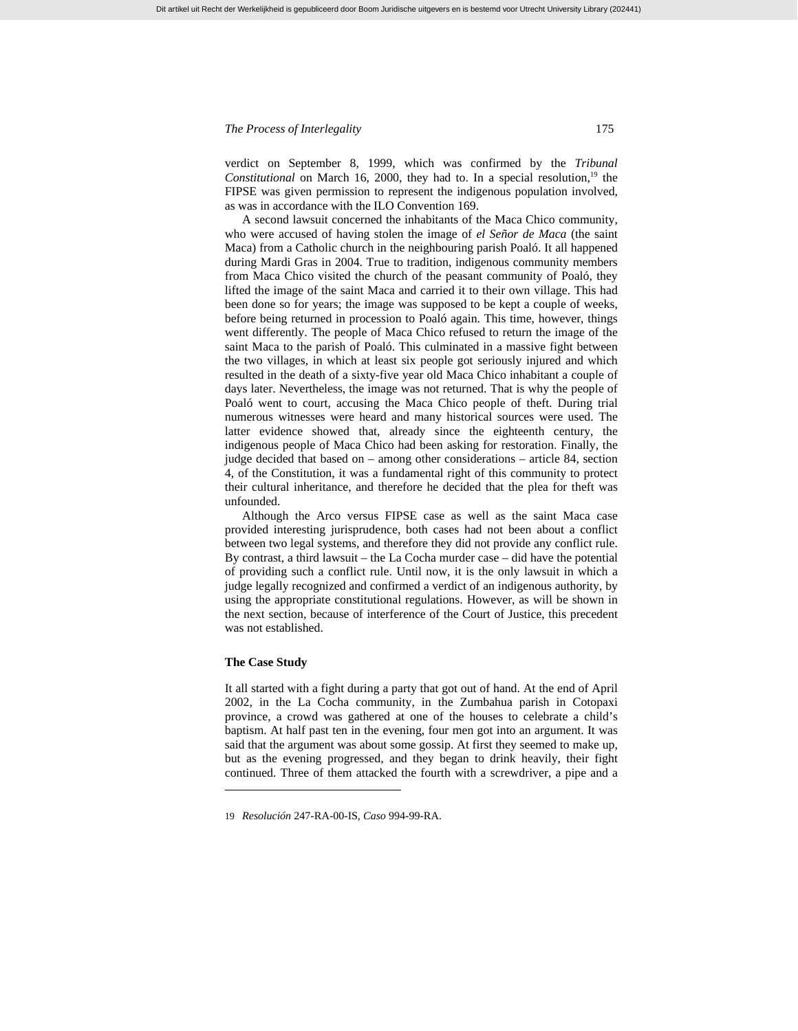verdict on September 8, 1999, which was confirmed by the *Tribunal Constitutional* on March 16, 2000, they had to. In a special resolution,<sup>19</sup> the FIPSE was given permission to represent the indigenous population involved, as was in accordance with the ILO Convention 169.

Dit artikel uit Recht der Werkelijkheid is gepubliceerd door Boom Juridische uitgevers en is bestemd voor Utrecht University Library (202441)

A second lawsuit concerned the inhabitants of the Maca Chico community, who were accused of having stolen the image of *el Señor de Maca* (the saint Maca) from a Catholic church in the neighbouring parish Poaló. It all happened during Mardi Gras in 2004. True to tradition, indigenous community members from Maca Chico visited the church of the peasant community of Poaló, they lifted the image of the saint Maca and carried it to their own village. This had been done so for years; the image was supposed to be kept a couple of weeks, before being returned in procession to Poaló again. This time, however, things went differently. The people of Maca Chico refused to return the image of the saint Maca to the parish of Poaló. This culminated in a massive fight between the two villages, in which at least six people got seriously injured and which resulted in the death of a sixty-five year old Maca Chico inhabitant a couple of days later. Nevertheless, the image was not returned. That is why the people of Poaló went to court, accusing the Maca Chico people of theft. During trial numerous witnesses were heard and many historical sources were used. The latter evidence showed that, already since the eighteenth century, the indigenous people of Maca Chico had been asking for restoration. Finally, the judge decided that based on – among other considerations – article 84, section 4, of the Constitution, it was a fundamental right of this community to protect their cultural inheritance, and therefore he decided that the plea for theft was unfounded.

Although the Arco versus FIPSE case as well as the saint Maca case provided interesting jurisprudence, both cases had not been about a conflict between two legal systems, and therefore they did not provide any conflict rule. By contrast, a third lawsuit – the La Cocha murder case – did have the potential of providing such a conflict rule. Until now, it is the only lawsuit in which a judge legally recognized and confirmed a verdict of an indigenous authority, by using the appropriate constitutional regulations. However, as will be shown in the next section, because of interference of the Court of Justice, this precedent was not established.

#### **The Case Study**

l

It all started with a fight during a party that got out of hand. At the end of April 2002, in the La Cocha community, in the Zumbahua parish in Cotopaxi province, a crowd was gathered at one of the houses to celebrate a child's baptism. At half past ten in the evening, four men got into an argument. It was said that the argument was about some gossip. At first they seemed to make up, but as the evening progressed, and they began to drink heavily, their fight continued. Three of them attacked the fourth with a screwdriver, a pipe and a

<sup>19</sup> *Resolución* 247-RA-00-IS, *Caso* 994-99-RA.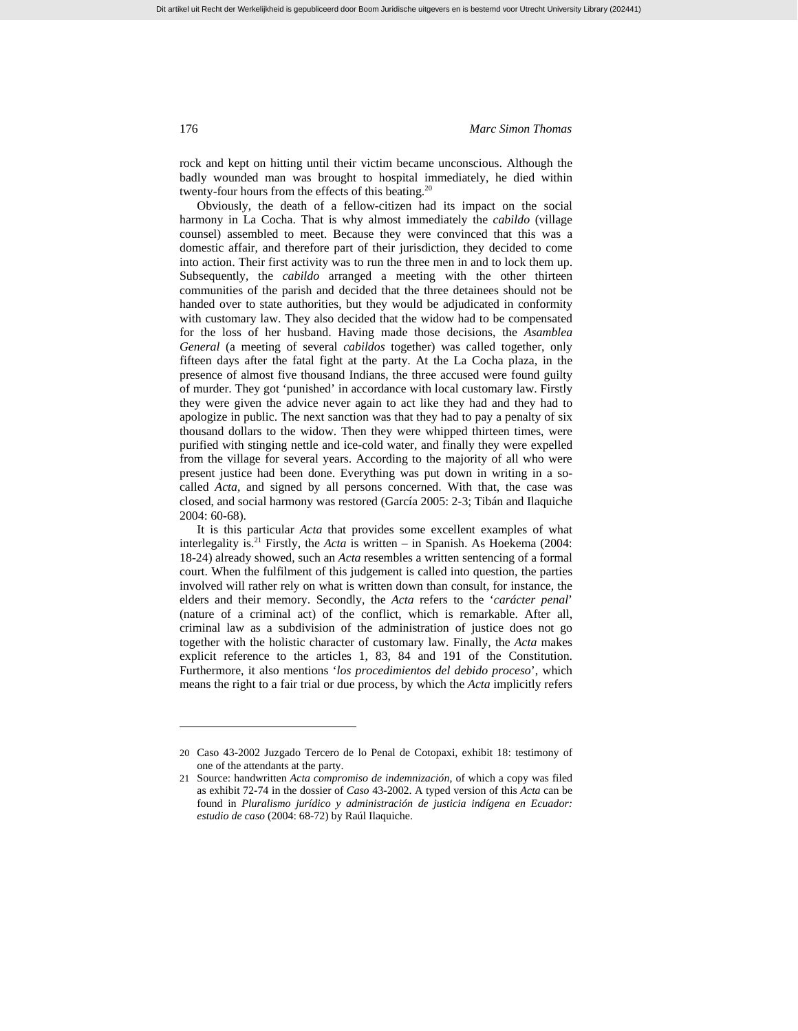rock and kept on hitting until their victim became unconscious. Although the badly wounded man was brought to hospital immediately, he died within twenty-four hours from the effects of this beating.<sup>20</sup>

Obviously, the death of a fellow-citizen had its impact on the social harmony in La Cocha. That is why almost immediately the *cabildo* (village counsel) assembled to meet. Because they were convinced that this was a domestic affair, and therefore part of their jurisdiction, they decided to come into action. Their first activity was to run the three men in and to lock them up. Subsequently, the *cabildo* arranged a meeting with the other thirteen communities of the parish and decided that the three detainees should not be handed over to state authorities, but they would be adjudicated in conformity with customary law. They also decided that the widow had to be compensated for the loss of her husband. Having made those decisions, the *Asamblea General* (a meeting of several *cabildos* together) was called together, only fifteen days after the fatal fight at the party. At the La Cocha plaza, in the presence of almost five thousand Indians, the three accused were found guilty of murder. They got 'punished' in accordance with local customary law. Firstly they were given the advice never again to act like they had and they had to apologize in public. The next sanction was that they had to pay a penalty of six thousand dollars to the widow. Then they were whipped thirteen times, were purified with stinging nettle and ice-cold water, and finally they were expelled from the village for several years. According to the majority of all who were present justice had been done. Everything was put down in writing in a socalled *Acta*, and signed by all persons concerned. With that, the case was closed, and social harmony was restored (García 2005: 2-3; Tibán and Ilaquiche 2004: 60-68).

It is this particular *Acta* that provides some excellent examples of what interlegality is.21 Firstly, the *Acta* is written – in Spanish. As Hoekema (2004: 18-24) already showed, such an *Acta* resembles a written sentencing of a formal court. When the fulfilment of this judgement is called into question, the parties involved will rather rely on what is written down than consult, for instance, the elders and their memory. Secondly, the *Acta* refers to the '*carácter penal*' (nature of a criminal act) of the conflict, which is remarkable. After all, criminal law as a subdivision of the administration of justice does not go together with the holistic character of customary law. Finally, the *Acta* makes explicit reference to the articles 1, 83, 84 and 191 of the Constitution. Furthermore, it also mentions '*los procedimientos del debido proceso*', which means the right to a fair trial or due process, by which the *Acta* implicitly refers

<sup>20</sup> Caso 43-2002 Juzgado Tercero de lo Penal de Cotopaxi, exhibit 18: testimony of one of the attendants at the party.

<sup>21</sup> Source: handwritten *Acta compromiso de indemnización*, of which a copy was filed as exhibit 72-74 in the dossier of *Caso* 43-2002. A typed version of this *Acta* can be found in *Pluralismo jurídico y administración de justicia indígena en Ecuador: estudio de caso* (2004: 68-72) by Raúl Ilaquiche.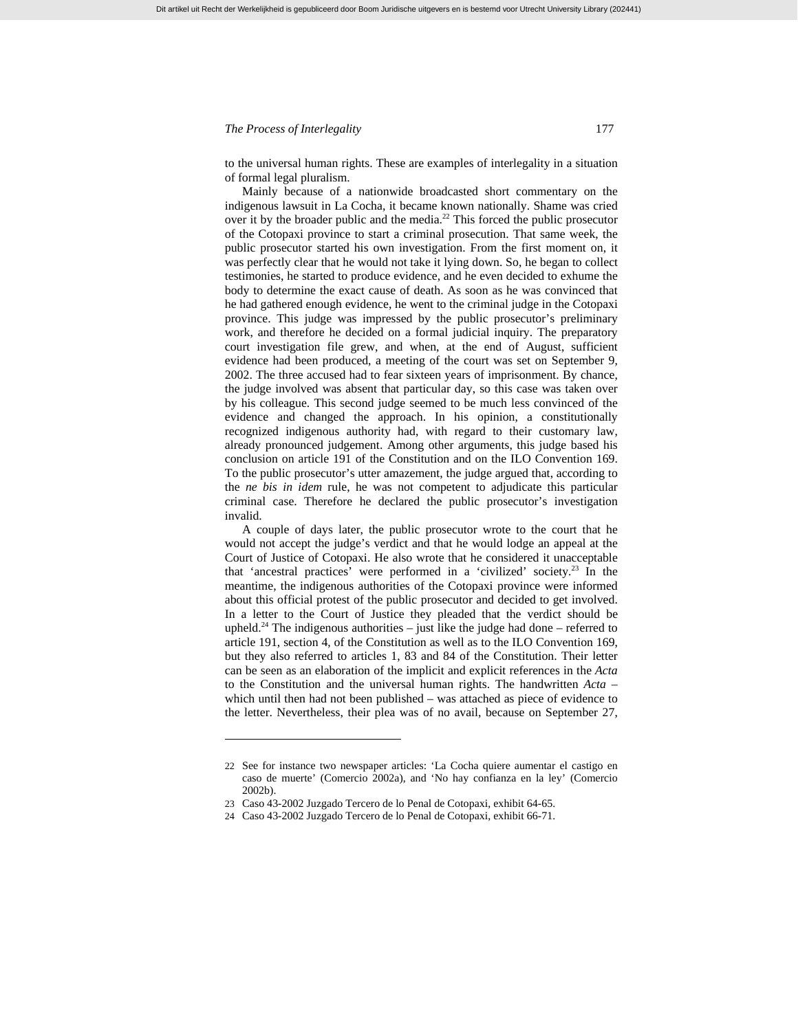to the universal human rights. These are examples of interlegality in a situation of formal legal pluralism.

Mainly because of a nationwide broadcasted short commentary on the indigenous lawsuit in La Cocha, it became known nationally. Shame was cried over it by the broader public and the media.<sup>22</sup> This forced the public prosecutor of the Cotopaxi province to start a criminal prosecution. That same week, the public prosecutor started his own investigation. From the first moment on, it was perfectly clear that he would not take it lying down. So, he began to collect testimonies, he started to produce evidence, and he even decided to exhume the body to determine the exact cause of death. As soon as he was convinced that he had gathered enough evidence, he went to the criminal judge in the Cotopaxi province. This judge was impressed by the public prosecutor's preliminary work, and therefore he decided on a formal judicial inquiry. The preparatory court investigation file grew, and when, at the end of August, sufficient evidence had been produced, a meeting of the court was set on September 9, 2002. The three accused had to fear sixteen years of imprisonment. By chance, the judge involved was absent that particular day, so this case was taken over by his colleague. This second judge seemed to be much less convinced of the evidence and changed the approach. In his opinion, a constitutionally recognized indigenous authority had, with regard to their customary law, already pronounced judgement. Among other arguments, this judge based his conclusion on article 191 of the Constitution and on the ILO Convention 169. To the public prosecutor's utter amazement, the judge argued that, according to the *ne bis in idem* rule, he was not competent to adjudicate this particular criminal case. Therefore he declared the public prosecutor's investigation invalid.

A couple of days later, the public prosecutor wrote to the court that he would not accept the judge's verdict and that he would lodge an appeal at the Court of Justice of Cotopaxi. He also wrote that he considered it unacceptable that 'ancestral practices' were performed in a 'civilized' society.23 In the meantime, the indigenous authorities of the Cotopaxi province were informed about this official protest of the public prosecutor and decided to get involved. In a letter to the Court of Justice they pleaded that the verdict should be upheld.<sup>24</sup> The indigenous authorities – just like the judge had done – referred to article 191, section 4, of the Constitution as well as to the ILO Convention 169, but they also referred to articles 1, 83 and 84 of the Constitution. Their letter can be seen as an elaboration of the implicit and explicit references in the *Acta* to the Constitution and the universal human rights. The handwritten *Acta* – which until then had not been published – was attached as piece of evidence to the letter. Nevertheless, their plea was of no avail, because on September 27,

<sup>22</sup> See for instance two newspaper articles: 'La Cocha quiere aumentar el castigo en caso de muerte' (Comercio 2002a), and 'No hay confianza en la ley' (Comercio 2002b).

<sup>23</sup> Caso 43-2002 Juzgado Tercero de lo Penal de Cotopaxi, exhibit 64-65.

<sup>24</sup> Caso 43-2002 Juzgado Tercero de lo Penal de Cotopaxi, exhibit 66-71.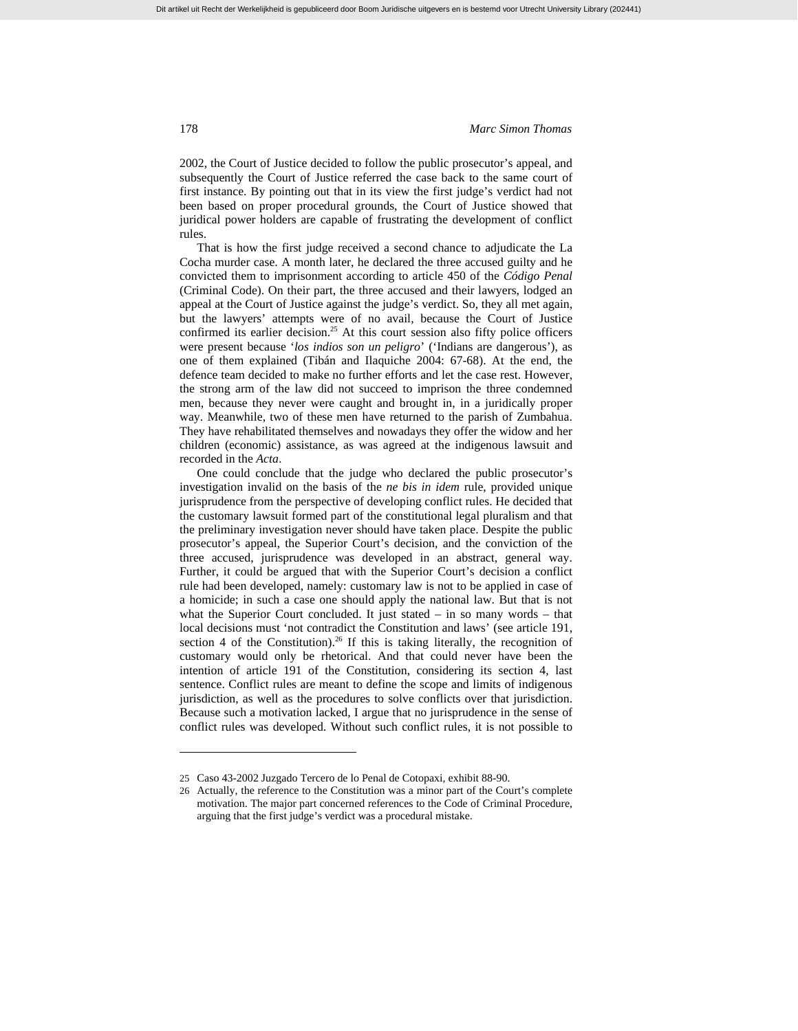2002, the Court of Justice decided to follow the public prosecutor's appeal, and subsequently the Court of Justice referred the case back to the same court of first instance. By pointing out that in its view the first judge's verdict had not been based on proper procedural grounds, the Court of Justice showed that juridical power holders are capable of frustrating the development of conflict rules.

That is how the first judge received a second chance to adjudicate the La Cocha murder case. A month later, he declared the three accused guilty and he convicted them to imprisonment according to article 450 of the *Código Penal*  (Criminal Code). On their part, the three accused and their lawyers, lodged an appeal at the Court of Justice against the judge's verdict. So, they all met again, but the lawyers' attempts were of no avail, because the Court of Justice confirmed its earlier decision.<sup>25</sup> At this court session also fifty police officers were present because '*los indios son un peligro*' ('Indians are dangerous'), as one of them explained (Tibán and Ilaquiche 2004: 67-68). At the end, the defence team decided to make no further efforts and let the case rest. However, the strong arm of the law did not succeed to imprison the three condemned men, because they never were caught and brought in, in a juridically proper way. Meanwhile, two of these men have returned to the parish of Zumbahua. They have rehabilitated themselves and nowadays they offer the widow and her children (economic) assistance, as was agreed at the indigenous lawsuit and recorded in the *Acta*.

One could conclude that the judge who declared the public prosecutor's investigation invalid on the basis of the *ne bis in idem* rule, provided unique jurisprudence from the perspective of developing conflict rules. He decided that the customary lawsuit formed part of the constitutional legal pluralism and that the preliminary investigation never should have taken place. Despite the public prosecutor's appeal, the Superior Court's decision, and the conviction of the three accused, jurisprudence was developed in an abstract, general way. Further, it could be argued that with the Superior Court's decision a conflict rule had been developed, namely: customary law is not to be applied in case of a homicide; in such a case one should apply the national law. But that is not what the Superior Court concluded. It just stated – in so many words – that local decisions must 'not contradict the Constitution and laws' (see article 191, section 4 of the Constitution).<sup>26</sup> If this is taking literally, the recognition of customary would only be rhetorical. And that could never have been the intention of article 191 of the Constitution, considering its section 4, last sentence. Conflict rules are meant to define the scope and limits of indigenous jurisdiction, as well as the procedures to solve conflicts over that jurisdiction. Because such a motivation lacked, I argue that no jurisprudence in the sense of conflict rules was developed. Without such conflict rules, it is not possible to

<sup>25</sup> Caso 43-2002 Juzgado Tercero de lo Penal de Cotopaxi, exhibit 88-90.

<sup>26</sup> Actually, the reference to the Constitution was a minor part of the Court's complete motivation. The major part concerned references to the Code of Criminal Procedure, arguing that the first judge's verdict was a procedural mistake.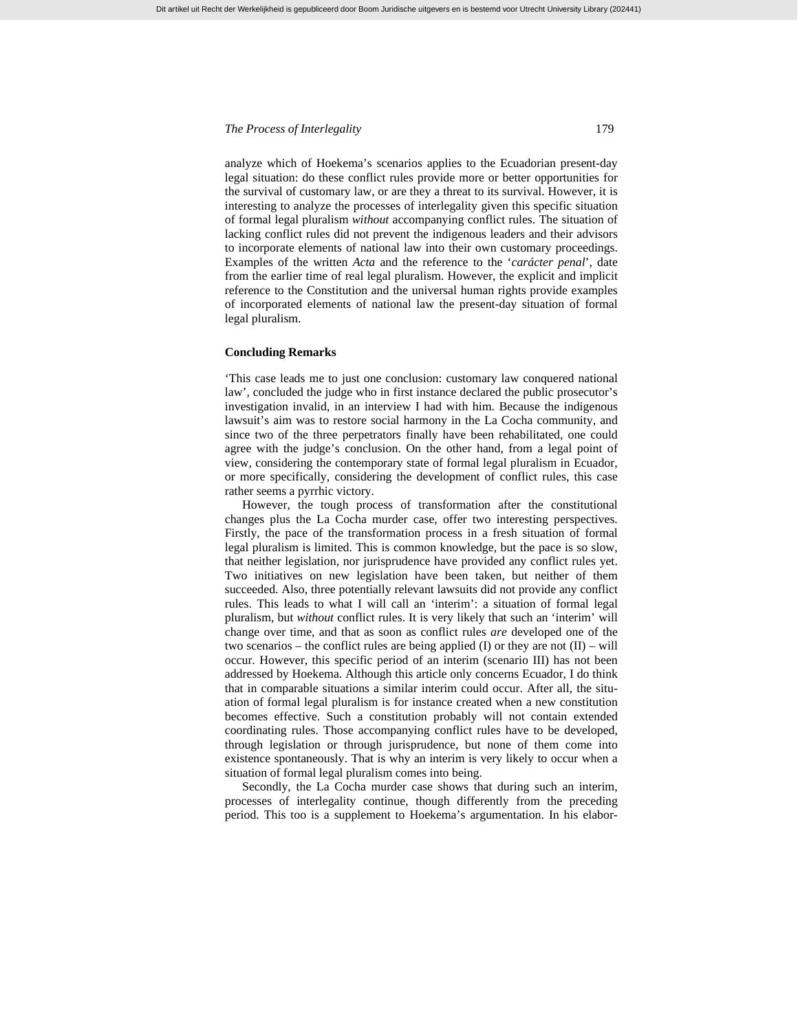analyze which of Hoekema's scenarios applies to the Ecuadorian present-day legal situation: do these conflict rules provide more or better opportunities for the survival of customary law, or are they a threat to its survival. However, it is interesting to analyze the processes of interlegality given this specific situation of formal legal pluralism *without* accompanying conflict rules. The situation of lacking conflict rules did not prevent the indigenous leaders and their advisors to incorporate elements of national law into their own customary proceedings. Examples of the written *Acta* and the reference to the '*carácter penal*', date from the earlier time of real legal pluralism. However, the explicit and implicit reference to the Constitution and the universal human rights provide examples of incorporated elements of national law the present-day situation of formal legal pluralism.

#### **Concluding Remarks**

'This case leads me to just one conclusion: customary law conquered national law', concluded the judge who in first instance declared the public prosecutor's investigation invalid, in an interview I had with him. Because the indigenous lawsuit's aim was to restore social harmony in the La Cocha community, and since two of the three perpetrators finally have been rehabilitated, one could agree with the judge's conclusion. On the other hand, from a legal point of view, considering the contemporary state of formal legal pluralism in Ecuador, or more specifically, considering the development of conflict rules, this case rather seems a pyrrhic victory.

However, the tough process of transformation after the constitutional changes plus the La Cocha murder case, offer two interesting perspectives. Firstly, the pace of the transformation process in a fresh situation of formal legal pluralism is limited. This is common knowledge, but the pace is so slow, that neither legislation, nor jurisprudence have provided any conflict rules yet. Two initiatives on new legislation have been taken, but neither of them succeeded. Also, three potentially relevant lawsuits did not provide any conflict rules. This leads to what I will call an 'interim': a situation of formal legal pluralism, but *without* conflict rules. It is very likely that such an 'interim' will change over time, and that as soon as conflict rules *are* developed one of the two scenarios – the conflict rules are being applied (I) or they are not (II) – will occur. However, this specific period of an interim (scenario III) has not been addressed by Hoekema. Although this article only concerns Ecuador, I do think that in comparable situations a similar interim could occur. After all, the situation of formal legal pluralism is for instance created when a new constitution becomes effective. Such a constitution probably will not contain extended coordinating rules. Those accompanying conflict rules have to be developed, through legislation or through jurisprudence, but none of them come into existence spontaneously. That is why an interim is very likely to occur when a situation of formal legal pluralism comes into being.

Secondly, the La Cocha murder case shows that during such an interim, processes of interlegality continue, though differently from the preceding period. This too is a supplement to Hoekema's argumentation. In his elabor-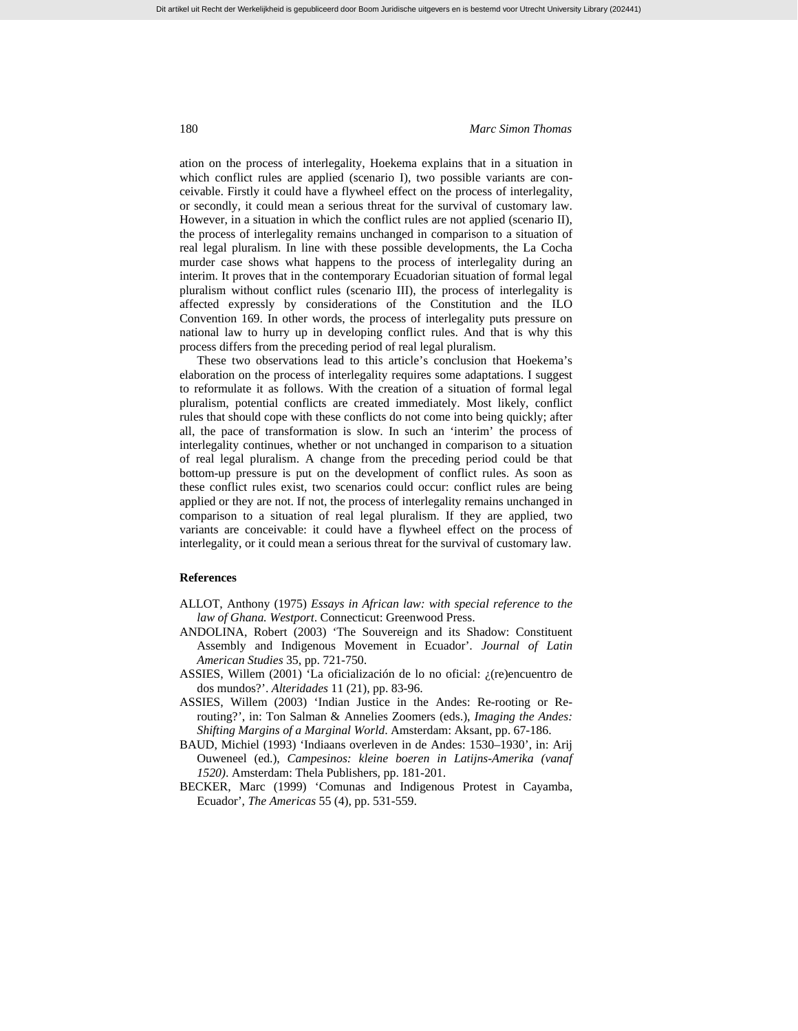ation on the process of interlegality, Hoekema explains that in a situation in which conflict rules are applied (scenario I), two possible variants are conceivable. Firstly it could have a flywheel effect on the process of interlegality, or secondly, it could mean a serious threat for the survival of customary law. However, in a situation in which the conflict rules are not applied (scenario II), the process of interlegality remains unchanged in comparison to a situation of real legal pluralism. In line with these possible developments, the La Cocha murder case shows what happens to the process of interlegality during an interim. It proves that in the contemporary Ecuadorian situation of formal legal pluralism without conflict rules (scenario III), the process of interlegality is affected expressly by considerations of the Constitution and the ILO Convention 169. In other words, the process of interlegality puts pressure on national law to hurry up in developing conflict rules. And that is why this process differs from the preceding period of real legal pluralism.

These two observations lead to this article's conclusion that Hoekema's elaboration on the process of interlegality requires some adaptations. I suggest to reformulate it as follows. With the creation of a situation of formal legal pluralism, potential conflicts are created immediately. Most likely, conflict rules that should cope with these conflicts do not come into being quickly; after all, the pace of transformation is slow. In such an 'interim' the process of interlegality continues, whether or not unchanged in comparison to a situation of real legal pluralism. A change from the preceding period could be that bottom-up pressure is put on the development of conflict rules. As soon as these conflict rules exist, two scenarios could occur: conflict rules are being applied or they are not. If not, the process of interlegality remains unchanged in comparison to a situation of real legal pluralism. If they are applied, two variants are conceivable: it could have a flywheel effect on the process of interlegality, or it could mean a serious threat for the survival of customary law.

## **References**

- ALLOT, Anthony (1975) *Essays in African law: with special reference to the law of Ghana. Westport*. Connecticut: Greenwood Press.
- ANDOLINA, Robert (2003) 'The Souvereign and its Shadow: Constituent Assembly and Indigenous Movement in Ecuador'. *Journal of Latin American Studies* 35, pp. 721-750.
- ASSIES, Willem (2001) 'La oficialización de lo no oficial: ¿(re)encuentro de dos mundos?'. *Alteridades* 11 (21), pp. 83-96.
- ASSIES, Willem (2003) 'Indian Justice in the Andes: Re-rooting or Rerouting?', in: Ton Salman & Annelies Zoomers (eds.), *Imaging the Andes: Shifting Margins of a Marginal World*. Amsterdam: Aksant, pp. 67-186.
- BAUD, Michiel (1993) 'Indiaans overleven in de Andes: 1530–1930', in: Arij Ouweneel (ed.), *Campesinos: kleine boeren in Latijns-Amerika (vanaf 1520)*. Amsterdam: Thela Publishers, pp. 181-201.
- BECKER, Marc (1999) 'Comunas and Indigenous Protest in Cayamba, Ecuador', *The Americas* 55 (4), pp. 531-559.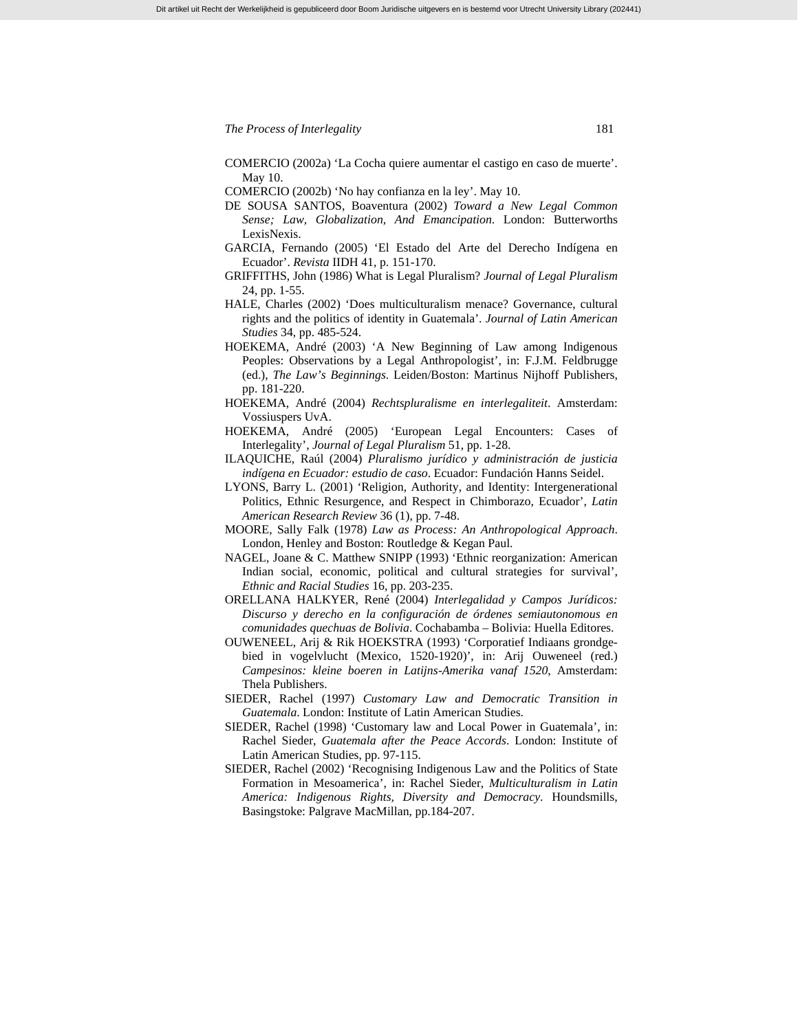- COMERCIO (2002a) 'La Cocha quiere aumentar el castigo en caso de muerte'. May 10.
- COMERCIO (2002b) 'No hay confianza en la ley'. May 10.
- DE SOUSA SANTOS, Boaventura (2002) *Toward a New Legal Common Sense; Law, Globalization, And Emancipation*. London: Butterworths LexisNexis.
- GARCIA, Fernando (2005) 'El Estado del Arte del Derecho Indígena en Ecuador'. *Revista* IIDH 41, p. 151-170.
- GRIFFITHS, John (1986) What is Legal Pluralism? *Journal of Legal Pluralism* 24, pp. 1-55.
- HALE, Charles (2002) 'Does multiculturalism menace? Governance, cultural rights and the politics of identity in Guatemala'. *Journal of Latin American Studies* 34, pp. 485-524.
- HOEKEMA, André (2003) 'A New Beginning of Law among Indigenous Peoples: Observations by a Legal Anthropologist', in: F.J.M. Feldbrugge (ed.), *The Law's Beginnings*. Leiden/Boston: Martinus Nijhoff Publishers, pp. 181-220.
- HOEKEMA, André (2004) *Rechtspluralisme en interlegaliteit*. Amsterdam: Vossiuspers UvA.
- HOEKEMA, André (2005) 'European Legal Encounters: Cases of Interlegality', *Journal of Legal Pluralism* 51, pp. 1-28.
- ILAQUICHE, Raúl (2004) *Pluralismo jurídico y administración de justicia indígena en Ecuador: estudio de caso*. Ecuador: Fundación Hanns Seidel.
- LYONS, Barry L. (2001) 'Religion, Authority, and Identity: Intergenerational Politics, Ethnic Resurgence, and Respect in Chimborazo, Ecuador', *Latin American Research Review* 36 (1), pp. 7-48.
- MOORE, Sally Falk (1978) *Law as Process: An Anthropological Approach*. London, Henley and Boston: Routledge & Kegan Paul.
- NAGEL, Joane & C. Matthew SNIPP (1993) 'Ethnic reorganization: American Indian social, economic, political and cultural strategies for survival', *Ethnic and Racial Studies* 16, pp. 203-235.
- ORELLANA HALKYER, René (2004) *Interlegalidad y Campos Jurídicos: Discurso y derecho en la configuración de órdenes semiautonomous en comunidades quechuas de Bolivia*. Cochabamba – Bolivia: Huella Editores.
- OUWENEEL, Arij & Rik HOEKSTRA (1993) 'Corporatief Indiaans grondgebied in vogelvlucht (Mexico, 1520-1920)', in: Arij Ouweneel (red.) *Campesinos: kleine boeren in Latijns-Amerika vanaf 1520*, Amsterdam: Thela Publishers.
- SIEDER, Rachel (1997) *Customary Law and Democratic Transition in Guatemala*. London: Institute of Latin American Studies.
- SIEDER, Rachel (1998) 'Customary law and Local Power in Guatemala', in: Rachel Sieder, *Guatemala after the Peace Accords*. London: Institute of Latin American Studies, pp. 97-115.
- SIEDER, Rachel (2002) 'Recognising Indigenous Law and the Politics of State Formation in Mesoamerica', in: Rachel Sieder, *Multiculturalism in Latin America: Indigenous Rights, Diversity and Democracy*. Houndsmills, Basingstoke: Palgrave MacMillan, pp.184-207.